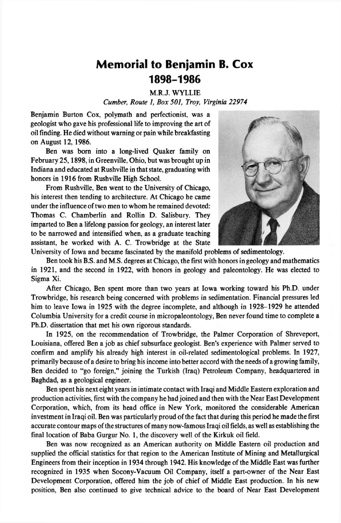## **Memorial to Benjamin B. Cox 1898-1986**

M.R.J. WYLLIE

*Cumber, Route 1, Box 501, Troy, Virginia 22974*

Benjamin Burton Cox, polymath and perfectionist, was a geologist who gave his professional life to improving the art of oil finding. He died without warning or pain while breakfasting on August 12, 1986.

Ben was bom into a long-lived Quaker family on February 25,1898, in Greenville, Ohio, but was brought up in Indiana and educated at Rushville in that state, graduating with honors in 1916 from Rushville High School.

From Rushville, Ben went to the University of Chicago, his interest then tending to architecture. At Chicago he came under the influence of two men to whom he remained devoted: Thomas C. Chamberlin and Rollin D. Salisbury. They imparted to Ben a lifelong passion for geology, an interest later to be narrowed and intensified when, as a graduate teaching assistant, he worked with A. C. Trowbridge at the State



University of Iowa and became fascinated by the manifold problems of sedimentology.

Ben took his B.S. and M.S. degrees at Chicago, the first with honors in geology and mathematics in 1921, and the second in 1922, with honors in geology and paleontology. He was elected to Sigma Xi.

After Chicago, Ben spent more than two years at Iowa working toward his Ph.D. under Trowbridge, his research being concerned with problems in sedimentation. Financial pressures led him to leave Iowa in 1925 with the degree incomplete, and although in 1928-1929 he attended Columbia University for a credit course in micropaleontology, Ben never found time to complete a Ph.D. dissertation that met his own rigorous standards.

In 1925, on the recommendation of Trowbridge, the Palmer Corporation of Shreveport, Louisiana, offered Ben a job as chief subsurface geologist. Ben's experience with Palmer served to confirm and amplify his already high interest in oil-related sedimentological problems. In 1927, primarily because of a desire to bring his income into better accord with the needs of a growing family, Ben decided to "go foreign," joining the Turkish (Iraq) Petroleum Company, headquartered in Baghdad, as a geological engineer.

Ben spent his next eight years in intimate contact with Iraqi and Middle Eastern exploration and production activities, first with the company he had joined and then with the Near East Development Corporation, which, from its head office in New York, monitored the considerable American investment in Iraqi oil. Ben was particularly proud of the fact that during this period he made the first accurate contour maps of the structures of many now-famous Iraqi oil fields, as well as establishing the final location of Baba Gurgur No. 1, the discovery well of the Kirkuk oil field.

Ben was now recognized as an American authority on Middle Eastern oil production and supplied the official statistics for that region to the American Institute of Mining and Metallurgical Engineers from their inception in 1934 through 1942. His knowledge of the Middle East was further recognized in 1935 when Socony-Vacuum Oil Company, itself a part-owner of the Near East Development Corporation, offered him the job of chief of Middle East production. In his new position, Ben also continued to give technical advice to the board of Near East Development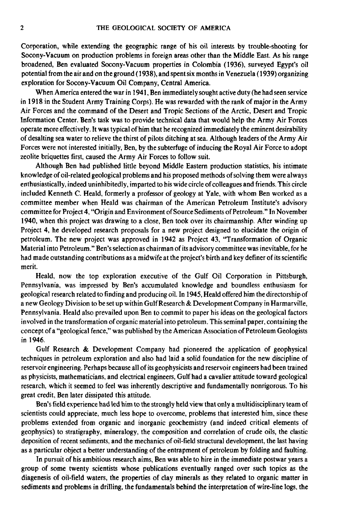Corporation, while extending the geographic range of his oil interests by trouble-shooting for Socony-Vacuum on production problems in foreign areas other than the Middle East. As his range broadened, Ben evaluated Socony-Vacuum properties in Colombia (1936), surveyed Egypt's oil potential from the air and on the ground (1938), and spent six months in Venezuela (1939) organizing exploration for Socony-Vacuum Oil Company, Central America.

When America entered the war in 1941, Ben immediately sought active duty (he had seen service in 1918 in the Student Army Training Corps). He was rewarded with the rank of major in the Army Air Forces and the command of the Desert and Tropic Sections of the Arctic, Desert and Tropic Information Center. Ben's task was to provide technical data that would help the Army Air Forces operate more effectively. It was typical of him that he recognized immediately the eminent desirability of desalting sea water to relieve the thirst of pilots ditching at sea. Although leaders of the Army Air Forces were not interested initially, Ben, by the subterfuge of inducing the Royal Air Force to adopt zeolite briquettes first, caused the Army Air Forces to follow suit.

Although Ben had published little beyond Middle Eastern production statistics, his intimate knowledge of oil-related geological problems and his proposed methods of solving them were always enthusiastically, indeed uninhibitedly, imparted to his wide circle of colleagues and friends. This circle included Kenneth C. Heald, formerly a professor of geology at Yale, with whom Ben worked as a committee member when Heald was chairman of the American Petroleum Institute's advisory committee for Project 4, "Origin and Environment of Source Sediments of Petroleum." In November 1940, when this project was drawing to a close, Ben took over its chairmanship. After winding up Project 4, he developed research proposals for a new project designed to elucidate the origin of petroleum. The new project was approved in 1942 as Project 43, "Transformation of Organic Material into Petroleum." Ben's selection as chairman of its advisory committee was inevitable, for he had made outstanding contributions as a midwife at the project's birth and key definer of its scientific merit.

Heald, now the top exploration executive of the Gulf Oil Corporation in Pittsburgh, Pennsylvania, was impressed by Ben's accumulated knowledge and boundless enthusiasm for geological research related to finding and producing oil. In 1945, Heald offered him the directorship of a new Geology Division to be set up within Gulf Research & Development Company in Harmarville, Pennsylvania. Heald also prevailed upon Ben to commit to paper his ideas on the geological factors involved in the transformation of organic material into petroleum. This seminal paper, containing the concept of a "geological fence," was published by the American Association of Petroleum Geologists in 1946.

Gulf Research & Development Company had pioneered the application of geophysical techniques in petroleum exploration and also had laid a solid foundation for the new discipline of reservoir engineering. Perhaps because all of its geophysicists and reservoir engineers had been trained as physicists, mathematicians, and electrical engineers, Gulf had a cavalier attitude toward geological research, which it seemed to feel was inherently descriptive and fundamentally nonrigorous. To his great credit, Ben later dissipated this attitude.

Ben's field experience had led him to the strongly held view that only a multidisciplinary team of scientists could appreciate, much less hope to overcome, problems that interested him, since these problems extended from organic and inorganic geochemistry (and indeed critical elements of geophysics) to stratigraphy, mineralogy, the composition and correlation of crude oils, the clastic deposition of recent sediments, and the mechanics of oil-field structural development, the last having as a particular object a better understanding of the entrapment of petroleum by folding and faulting.

In pursuit of his ambitious research aims, Ben was able to hire in the immediate postwar years a group of some twenty scientists whose publications eventually ranged over such topics as the diagenesis of oil-field waters, the properties of clay minerals as they related to organic matter in sediments and problems in drilling, the fundamentals behind the interpretation of wire-line logs, the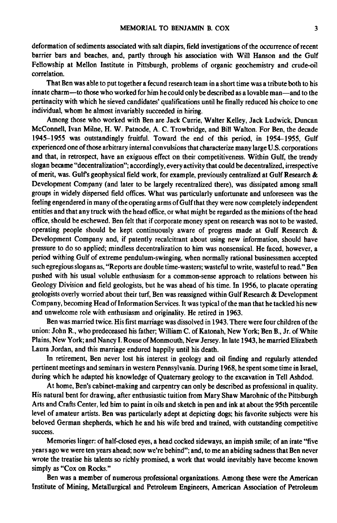deformation of sediments associated with salt diapirs, field investigations of the occurrence of recent barrier bars and beaches, and, partly through his association with Will Hanson and the Gulf Fellowship at Mellon Institute in Pittsburgh, problems of organic geochemistry and crude-oil correlation.

That Ben was able to put together a fecund research team in a short time was a tribute both to his innate charm—to those who worked for him he could only be described as a lovable man—and to the pertinacity with which he sieved candidates' qualifications until he finally reduced his choice to one individual, whom he almost invariably succeeded in hiring.

Among those who worked with Ben are Jack Currie, Walter Kelley, Jack Ludwick, Duncan McConnell, Ivan Milne, H. W. Patnode, A. C. Trowbridge, and Bill Walton. For Ben, the decade 1945-1955 was outstandingly fruitful. Toward the end of this period, in 1954-1955, Gulf experienced one of those arbitrary internal convulsions that characterize many large U.S. corporations and that, in retrospect, have an exiguous effect on their competitiveness. Within Gulf, the trendy slogan became "decentralization"; accordingly, every activity that could be decentralized, irrespective of merit, was. Gulf's geophysical field work, for example, previously centralized at Gulf Research  $\&$ Development Company (and later to be largely recentralized there), was dissipated among small groups in widely dispersed field offices. What was particularly unfortunate and unforeseen was the feeling engendered in many of the operating arms of Gulf that they were now completely independent entities and that any truck with the head office, or what might be regarded as the minions of the head office, should be eschewed. Ben felt that if corporate money spent on research was not to be wasted, operating people should be kept continuously aware of progress made at Gulf Research & Development Company and, if patently recalcitrant about using new information, should have pressure to do so applied; mindless decentralization to him was nonsensical. He faced, however, a period withing Gulf of extreme pendulum-swinging, when normally rational businessmen accepted such egregious slogans as, "Reports are double time-wasters; wasteful to write, wasteful to read." Ben pushed with his usual voluble enthusiasm for a common-sense approach to relations between his Geology Division and field geologists, but he was ahead of his time. In 1956, to placate operating geologists overly worried about their turf, Ben was reassigned within Gulf Research & Development Company, becoming Head of Information Services. It was typical of the man that he tackled his new and unwelcome role with enthusiasm and originality. He retired in 1963.

Ben was married twice. His first marriage was dissolved in 1943. There were four children of the union: John R., who predeceased his father; William C. of Katonah, New York; Ben B., Jr. of White Plains, New York; and Nancy I. Rouse of Monmouth, New Jersey. In late 1943, he married Elizabeth Laura Jordan, and this marriage endured happily until his death.

In retirement, Ben never lost his interest in geology and oil finding and regularly attended pertinent meetings and seminars in western Pennsylvania. During 1968, he spent some time in Israel, during which he adapted his knowledge of Quaternary geology to the excavation in Tell Ashdod.

At home, Ben's cabinet-making and carpentry can only be described as professional in quality. His natural bent for drawing, after enthusiastic tuition from Mary Shaw Marohnic of the Pittsburgh Arts and Crafts Center, led him to paint in oils and sketch in pen and ink at about the 95th percentile level of amateur artists. Ben was particularly adept at depicting dogs; his favorite subjects were his beloved German shepherds, which he and his wife bred and trained, with outstanding competitive success.

Memories linger: of half-closed eyes, a head cocked sideways, an impish smile; of an irate "five years ago we were ten years ahead; now we're behind"; and, to me an abiding sadness that Ben never wrote the treatise his talents so richly promised, a work that would inevitably have become known simply as "Cox on Rocks."

Ben was a member of numerous professional organizations. Among these were the American Institute of Mining, Metallurgical and Petroleum Engineers, American Association of Petroleum